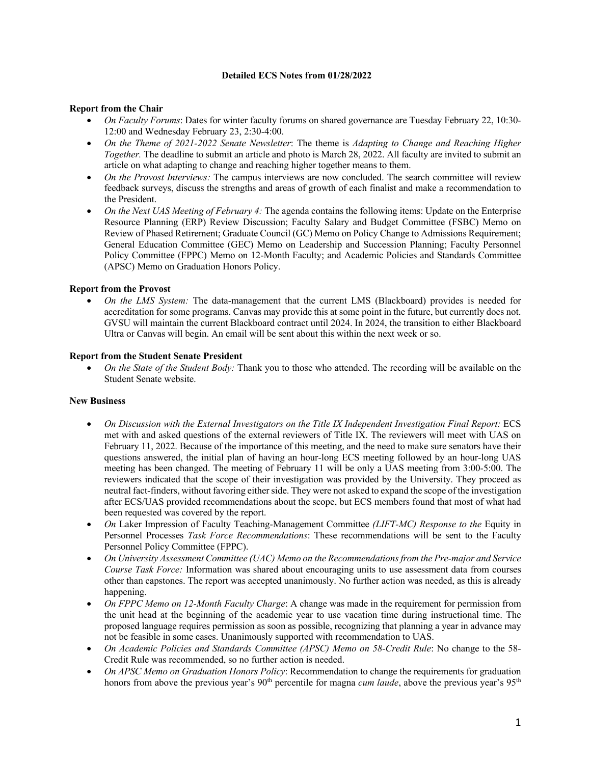# **Detailed ECS Notes from 01/28/2022**

# **Report from the Chair**

- *On Faculty Forums*: Dates for winter faculty forums on shared governance are Tuesday February 22, 10:30- 12:00 and Wednesday February 23, 2:30-4:00.
- *On the Theme of 2021-2022 Senate Newsletter*: The theme is *Adapting to Change and Reaching Higher Together.* The deadline to submit an article and photo is March 28, 2022. All faculty are invited to submit an article on what adapting to change and reaching higher together means to them.
- *On the Provost Interviews:* The campus interviews are now concluded. The search committee will review feedback surveys, discuss the strengths and areas of growth of each finalist and make a recommendation to the President.
- *On the Next UAS Meeting of February 4:* The agenda contains the following items: Update on the Enterprise Resource Planning (ERP) Review Discussion; Faculty Salary and Budget Committee (FSBC) Memo on Review of Phased Retirement; Graduate Council (GC) Memo on Policy Change to Admissions Requirement; General Education Committee (GEC) Memo on Leadership and Succession Planning; Faculty Personnel Policy Committee (FPPC) Memo on 12-Month Faculty; and Academic Policies and Standards Committee (APSC) Memo on Graduation Honors Policy.

### **Report from the Provost**

• *On the LMS System:* The data-management that the current LMS (Blackboard) provides is needed for accreditation for some programs. Canvas may provide this at some point in the future, but currently does not. GVSU will maintain the current Blackboard contract until 2024. In 2024, the transition to either Blackboard Ultra or Canvas will begin. An email will be sent about this within the next week or so.

### **Report from the Student Senate President**

• *On the State of the Student Body:* Thank you to those who attended. The recording will be available on the Student Senate website.

### **New Business**

- *On Discussion with the External Investigators on the Title IX Independent Investigation Final Report:* ECS met with and asked questions of the external reviewers of Title IX. The reviewers will meet with UAS on February 11, 2022. Because of the importance of this meeting, and the need to make sure senators have their questions answered, the initial plan of having an hour-long ECS meeting followed by an hour-long UAS meeting has been changed. The meeting of February 11 will be only a UAS meeting from 3:00-5:00. The reviewers indicated that the scope of their investigation was provided by the University. They proceed as neutral fact-finders, without favoring either side. They were not asked to expand the scope of the investigation after ECS/UAS provided recommendations about the scope, but ECS members found that most of what had been requested was covered by the report.
- *On* Laker Impression of Faculty Teaching-Management Committee *(LIFT-MC) Response to the* Equity in Personnel Processes *Task Force Recommendations*: These recommendations will be sent to the Faculty Personnel Policy Committee (FPPC).
- *On University Assessment Committee (UAC) Memo on the Recommendations from the Pre-major and Service Course Task Force:* Information was shared about encouraging units to use assessment data from courses other than capstones. The report was accepted unanimously. No further action was needed, as this is already happening.
- *On FPPC Memo on 12-Month Faculty Charge*: A change was made in the requirement for permission from the unit head at the beginning of the academic year to use vacation time during instructional time. The proposed language requires permission as soon as possible, recognizing that planning a year in advance may not be feasible in some cases. Unanimously supported with recommendation to UAS.
- *On Academic Policies and Standards Committee (APSC) Memo on 58-Credit Rule*: No change to the 58- Credit Rule was recommended, so no further action is needed.
- *On APSC Memo on Graduation Honors Policy*: Recommendation to change the requirements for graduation honors from above the previous year's 90<sup>th</sup> percentile for magna *cum laude*, above the previous year's 95<sup>th</sup>